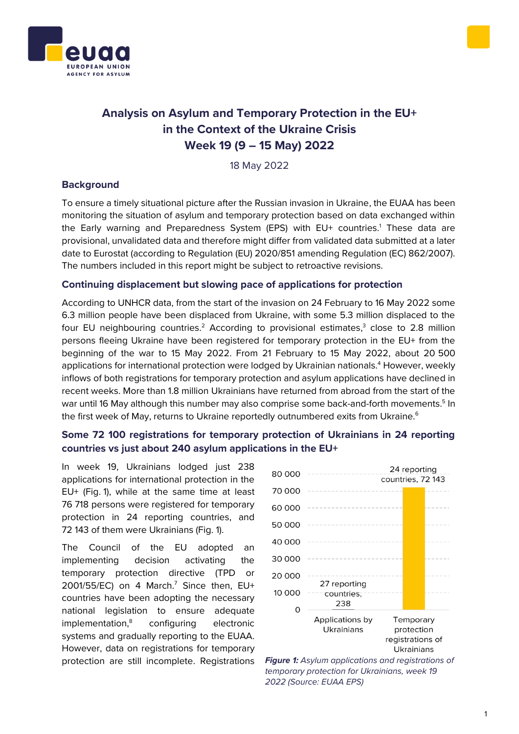



# **Analysis on Asylum and Temporary Protection in the EU+ in the Context of the Ukraine Crisis Week 19 (9 – 15 May) 2022**

18 May 2022

## **Background**

To ensure a timely situational picture after the Russian invasion in Ukraine, the EUAA has been monitoring the situation of asylum and temporary protection based on data exchanged within the Early warning and Preparedness System (EPS) with EU+ countries.<sup>1</sup> These data are provisional, unvalidated data and therefore might differ from validated data submitted at a later date to Eurostat (according to Regulation (EU) 2020/851 amending Regulation (EC) 862/2007). The numbers included in this report might be subject to retroactive revisions.

#### **Continuing displacement but slowing pace of applications for protection**

According to UNHCR data, from the start of the invasion on 24 February to 16 May 2022 some 6.3 million people have been displaced from Ukraine, with some 5.3 million displaced to the four EU neighbouring countries.<sup>2</sup> According to provisional estimates,<sup>3</sup> close to 2.8 million persons fleeing Ukraine have been registered for temporary protection in the EU+ from the beginning of the war to 15 May 2022. From 21 February to 15 May 2022, about 20 500 applications for international protection were lodged by Ukrainian nationals.<sup>4</sup> However, weekly inflows of both registrations for temporary protection and asylum applications have declined in recent weeks. More than 1.8 million Ukrainians have returned from abroad from the start of the war until 16 May although this number may also comprise some back-and-forth movements.<sup>5</sup> In the first week of May, returns to Ukraine reportedly outnumbered exits from Ukraine.<sup>6</sup>

# **Some 72 100 registrations for temporary protection of Ukrainians in 24 reporting countries vs just about 240 asylum applications in the EU+**

In week 19, Ukrainians lodged just 238 applications for international protection in the EU+ (Fig. 1), while at the same time at least 76 718 persons were registered for temporary protection in 24 reporting countries, and 72 143 of them were Ukrainians (Fig. 1).

The Council of the EU adopted an implementing decision activating the temporary protection directive (TPD or 2001/55/EC) on 4 March.<sup>7</sup> Since then, EU+ countries have been adopting the necessary national legislation to ensure adequate implementation,<sup>8</sup> configuring electronic systems and gradually reporting to the EUAA. However, data on registrations for temporary protection are still incomplete. Registrations *Figure 1: Asylum applications and registrations of*